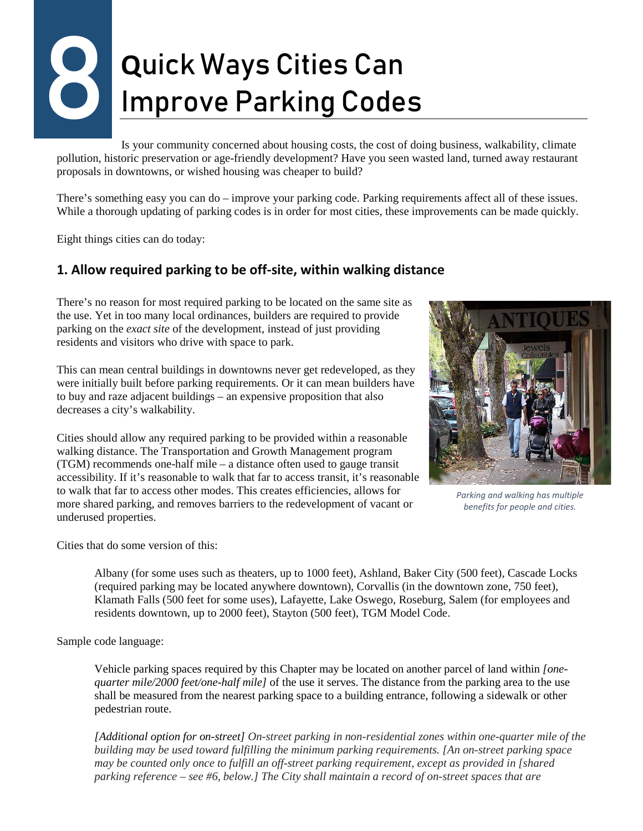# **Q**uick Ways Cities Can Improve Parking Codes 8

Is your community concerned about housing costs, the cost of doing business, walkability, climate pollution, historic preservation or age-friendly development? Have you seen wasted land, turned away restaurant proposals in downtowns, or wished housing was cheaper to build?

There's something easy you can do – improve your parking code. Parking requirements affect all of these issues. While a thorough updating of parking codes is in order for most cities, these improvements can be made quickly.

Eight things cities can do today:

#### **1. Allow required parking to be off-site, within walking distance**

There's no reason for most required parking to be located on the same site as the use. Yet in too many local ordinances, builders are required to provide parking on the *exact site* of the development, instead of just providing residents and visitors who drive with space to park.

This can mean central buildings in downtowns never get redeveloped, as they were initially built before parking requirements. Or it can mean builders have to buy and raze adjacent buildings – an expensive proposition that also decreases a city's walkability.

Cities should allow any required parking to be provided within a reasonable walking distance. The Transportation and Growth Management program (TGM) recommends one-half mile – a distance often used to gauge transit accessibility. If it's reasonable to walk that far to access transit, it's reasonable to walk that far to access other modes. This creates efficiencies, allows for more shared parking, and removes barriers to the redevelopment of vacant or underused properties.



*Parking and walking has multiple benefits for people and cities.*

Cities that do some version of this:

Albany (for some uses such as theaters, up to 1000 feet), Ashland, Baker City (500 feet), Cascade Locks (required parking may be located anywhere downtown), Corvallis (in the downtown zone, 750 feet), Klamath Falls (500 feet for some uses), Lafayette, Lake Oswego, Roseburg, Salem (for employees and residents downtown, up to 2000 feet), Stayton (500 feet), TGM Model Code.

Sample code language:

Vehicle parking spaces required by this Chapter may be located on another parcel of land within *[onequarter mile/2000 feet/one-half mile]* of the use it serves. The distance from the parking area to the use shall be measured from the nearest parking space to a building entrance, following a sidewalk or other pedestrian route.

*[Additional option for on-street] On-street parking in non-residential zones within one-quarter mile of the building may be used toward fulfilling the minimum parking requirements. [An on-street parking space may be counted only once to fulfill an off-street parking requirement, except as provided in [shared parking reference – see #6, below.] The City shall maintain a record of on-street spaces that are*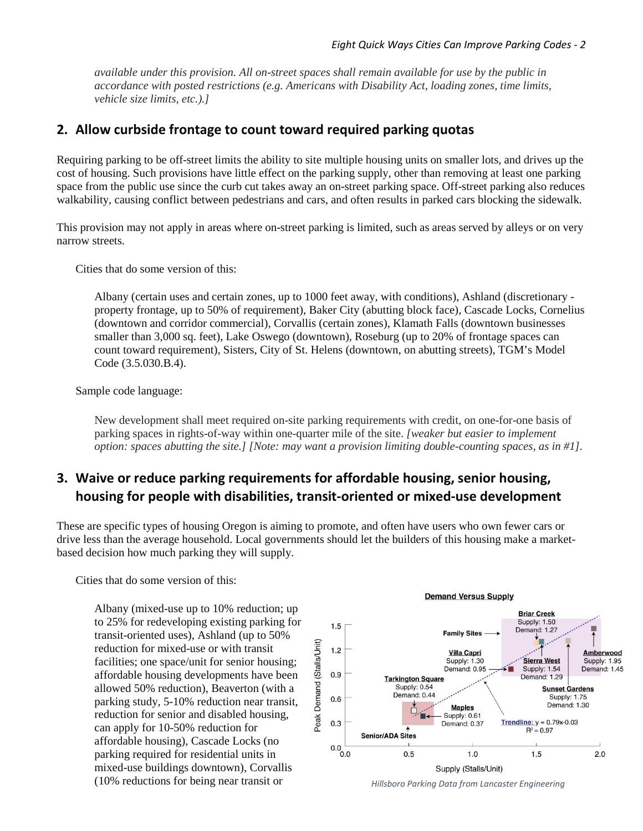*available under this provision. All on-street spaces shall remain available for use by the public in accordance with posted restrictions (e.g. Americans with Disability Act, loading zones, time limits, vehicle size limits, etc.).]*

#### **2. Allow curbside frontage to count toward required parking quotas**

Requiring parking to be off-street limits the ability to site multiple housing units on smaller lots, and drives up the cost of housing. Such provisions have little effect on the parking supply, other than removing at least one parking space from the public use since the curb cut takes away an on-street parking space. Off-street parking also reduces walkability, causing conflict between pedestrians and cars, and often results in parked cars blocking the sidewalk.

This provision may not apply in areas where on-street parking is limited, such as areas served by alleys or on very narrow streets.

Cities that do some version of this:

Albany (certain uses and certain zones, up to 1000 feet away, with conditions), Ashland (discretionary property frontage, up to 50% of requirement), Baker City (abutting block face), Cascade Locks, Cornelius (downtown and corridor commercial), Corvallis (certain zones), Klamath Falls (downtown businesses smaller than 3,000 sq. feet), Lake Oswego (downtown), Roseburg (up to 20% of frontage spaces can count toward requirement), Sisters, City of St. Helens (downtown, on abutting streets), TGM's Model Code (3.5.030.B.4).

Sample code language:

New development shall meet required on-site parking requirements with credit, on one-for-one basis of parking spaces in rights-of-way within one-quarter mile of the site. *[weaker but easier to implement option: spaces abutting the site.] [Note: may want a provision limiting double-counting spaces, as in #1].*

#### **3. Waive or reduce parking requirements for affordable housing, senior housing, housing for people with disabilities, transit-oriented or mixed-use development**

These are specific types of housing Oregon is aiming to promote, and often have users who own fewer cars or drive less than the average household. Local governments should let the builders of this housing make a marketbased decision how much parking they will supply.

Cities that do some version of this:

Albany (mixed-use up to 10% reduction; up to 25% for redeveloping existing parking for transit-oriented uses), Ashland (up to 50% reduction for mixed-use or with transit facilities; one space/unit for senior housing; affordable housing developments have been allowed 50% reduction), Beaverton (with a parking study, 5-10% reduction near transit, reduction for senior and disabled housing, can apply for 10-50% reduction for affordable housing), Cascade Locks (no parking required for residential units in mixed-use buildings downtown), Corvallis (10% reductions for being near transit or *Hillsboro Parking Data from Lancaster Engineering*



**Demand Versus Supply**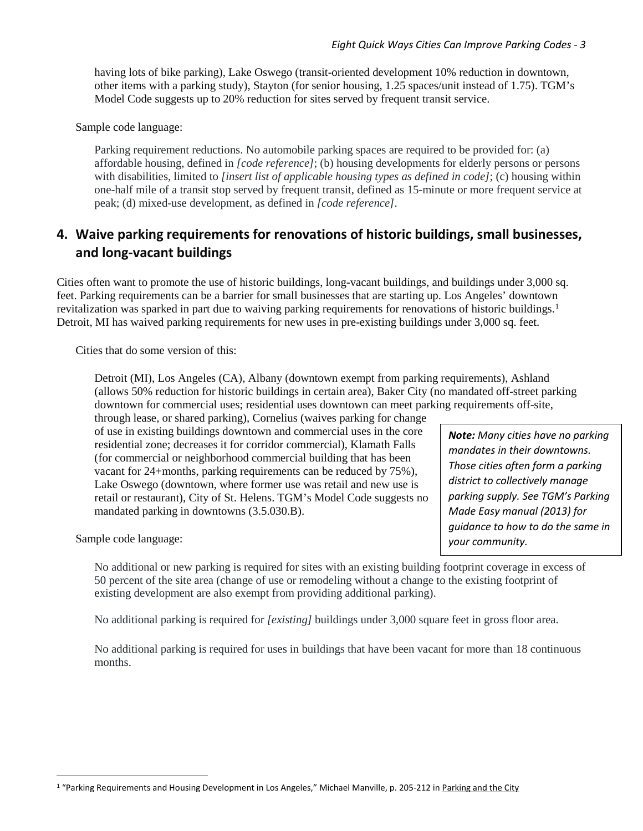having lots of bike parking), Lake Oswego (transit-oriented development 10% reduction in downtown, other items with a parking study), Stayton (for senior housing, 1.25 spaces/unit instead of 1.75). TGM's Model Code suggests up to 20% reduction for sites served by frequent transit service.

Sample code language:

Parking requirement reductions. No automobile parking spaces are required to be provided for: (a) affordable housing, defined in *[code reference]*; (b) housing developments for elderly persons or persons with disabilities, limited to *[insert list of applicable housing types as defined in code]*; (c) housing within one-half mile of a transit stop served by frequent transit, defined as 15-minute or more frequent service at peak; (d) mixed-use development, as defined in *[code reference]*.

#### **4. Waive parking requirements for renovations of historic buildings, small businesses, and long-vacant buildings**

Cities often want to promote the use of historic buildings, long-vacant buildings, and buildings under 3,000 sq. feet. Parking requirements can be a barrier for small businesses that are starting up. Los Angeles' downtown revitalization was sparked in part due to waiving parking requirements for renovations of historic buildings.<sup>[1](#page-2-0)</sup> Detroit, MI has waived parking requirements for new uses in pre-existing buildings under 3,000 sq. feet.

Cities that do some version of this:

Detroit (MI), Los Angeles (CA), Albany (downtown exempt from parking requirements), Ashland (allows 50% reduction for historic buildings in certain area), Baker City (no mandated off-street parking downtown for commercial uses; residential uses downtown can meet parking requirements off-site,

through lease, or shared parking), Cornelius (waives parking for change of use in existing buildings downtown and commercial uses in the core residential zone; decreases it for corridor commercial), Klamath Falls (for commercial or neighborhood commercial building that has been vacant for 24+months, parking requirements can be reduced by 75%), Lake Oswego (downtown, where former use was retail and new use is retail or restaurant), City of St. Helens. TGM's Model Code suggests no mandated parking in downtowns (3.5.030.B).

Sample code language:

No additional or new parking is required for sites with an existing building footprint coverage in excess of 50 percent of the site area (change of use or remodeling without a change to the existing footprint of existing development are also exempt from providing additional parking).

No additional parking is required for *[existing]* buildings under 3,000 square feet in gross floor area.

No additional parking is required for uses in buildings that have been vacant for more than 18 continuous months.

*Note: Many cities have no parking mandates in their downtowns. Those cities often form a parking district to collectively manage parking supply. See TGM's Parking Made Easy manual (2013) for guidance to how to do the same in your community.*

<span id="page-2-0"></span><sup>&</sup>lt;sup>1</sup> "Parking Requirements and Housing Development in Los Angeles," Michael Manville, p. 205-212 in Parking and the City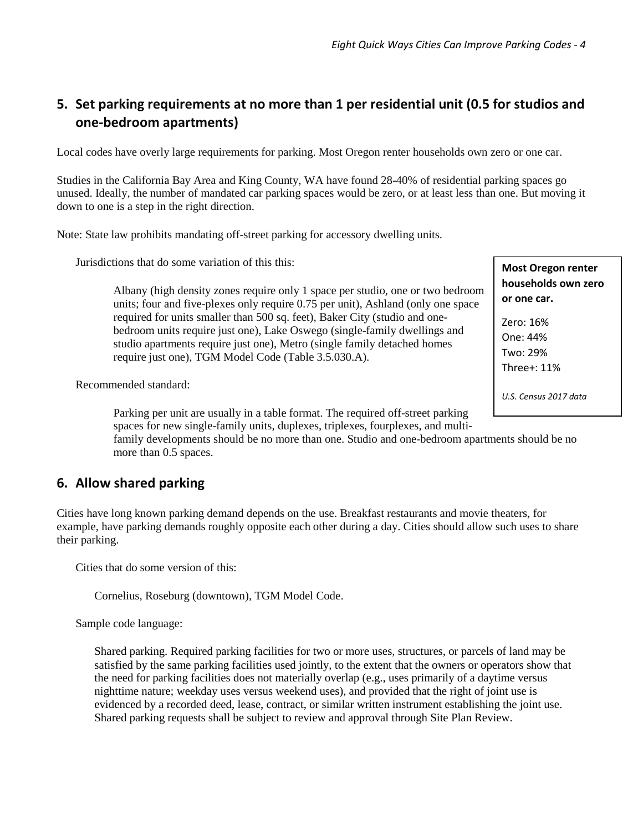#### **5. Set parking requirements at no more than 1 per residential unit (0.5 for studios and one-bedroom apartments)**

Local codes have overly large requirements for parking. Most Oregon renter households own zero or one car.

Studies in the California Bay Area and King County, WA have found 28-40% of residential parking spaces go unused. Ideally, the number of mandated car parking spaces would be zero, or at least less than one. But moving it down to one is a step in the right direction.

Note: State law prohibits mandating off-street parking for accessory dwelling units.

Jurisdictions that do some variation of this this:

Albany (high density zones require only 1 space per studio, one or two bedroom units; four and five-plexes only require 0.75 per unit), Ashland (only one space required for units smaller than 500 sq. feet), Baker City (studio and onebedroom units require just one), Lake Oswego (single-family dwellings and studio apartments require just one), Metro (single family detached homes require just one), TGM Model Code (Table 3.5.030.A).

Recommended standard:

Parking per unit are usually in a table format. The required off-street parking spaces for new single-family units, duplexes, triplexes, fourplexes, and multi-

family developments should be no more than one. Studio and one-bedroom apartments should be no more than 0.5 spaces.

#### **6. Allow shared parking**

Cities have long known parking demand depends on the use. Breakfast restaurants and movie theaters, for example, have parking demands roughly opposite each other during a day. Cities should allow such uses to share their parking.

Cities that do some version of this:

Cornelius, Roseburg (downtown), TGM Model Code.

Sample code language:

Shared parking. Required parking facilities for two or more uses, structures, or parcels of land may be satisfied by the same parking facilities used jointly, to the extent that the owners or operators show that the need for parking facilities does not materially overlap (e.g., uses primarily of a daytime versus nighttime nature; weekday uses versus weekend uses), and provided that the right of joint use is evidenced by a recorded deed, lease, contract, or similar written instrument establishing the joint use. Shared parking requests shall be subject to review and approval through Site Plan Review.

**Most Oregon renter households own zero or one car.** 

Zero: 16% One: 44% Two: 29% Three+: 11%

*U.S. Census 2017 data*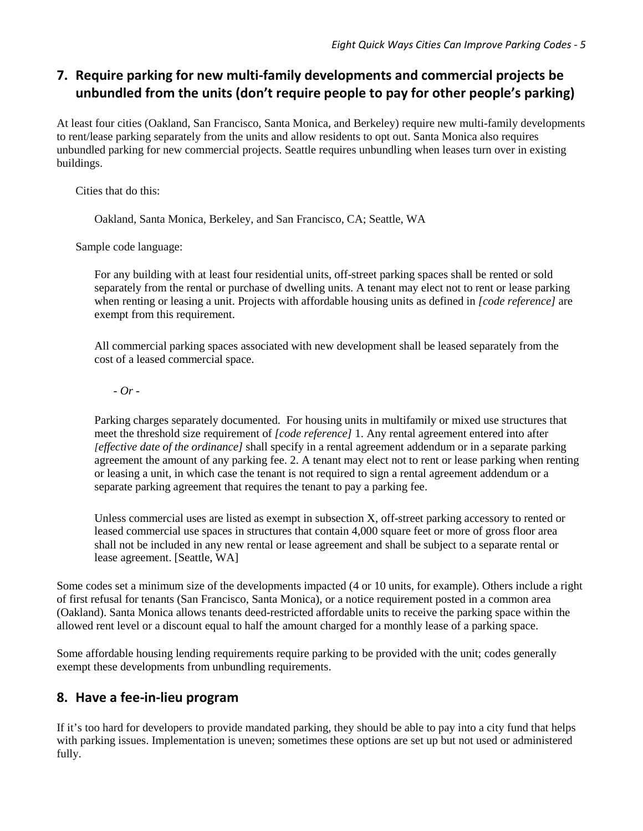### **7. Require parking for new multi-family developments and commercial projects be unbundled from the units (don't require people to pay for other people's parking)**

At least four cities (Oakland, San Francisco, Santa Monica, and Berkeley) require new multi-family developments to rent/lease parking separately from the units and allow residents to opt out. Santa Monica also requires unbundled parking for new commercial projects. Seattle requires unbundling when leases turn over in existing buildings.

Cities that do this:

Oakland, Santa Monica, Berkeley, and San Francisco, CA; Seattle, WA

Sample code language:

For any building with at least four residential units, off-street parking spaces shall be rented or sold separately from the rental or purchase of dwelling units. A tenant may elect not to rent or lease parking when renting or leasing a unit. Projects with affordable housing units as defined in *[code reference]* are exempt from this requirement.

All commercial parking spaces associated with new development shall be leased separately from the cost of a leased commercial space.

*- Or -*

Parking charges separately documented. For housing units in multifamily or mixed use structures that meet the threshold size requirement of *[code reference]* 1. Any rental agreement entered into after *[effective date of the ordinance]* shall specify in a rental agreement addendum or in a separate parking agreement the amount of any parking fee. 2. A tenant may elect not to rent or lease parking when renting or leasing a unit, in which case the tenant is not required to sign a rental agreement addendum or a separate parking agreement that requires the tenant to pay a parking fee.

Unless commercial uses are listed as exempt in subsection X, off-street parking accessory to rented or leased commercial use spaces in structures that contain 4,000 square feet or more of gross floor area shall not be included in any new rental or lease agreement and shall be subject to a separate rental or lease agreement. [Seattle, WA]

Some codes set a minimum size of the developments impacted (4 or 10 units, for example). Others include a right of first refusal for tenants (San Francisco, Santa Monica), or a notice requirement posted in a common area (Oakland). Santa Monica allows tenants deed-restricted affordable units to receive the parking space within the allowed rent level or a discount equal to half the amount charged for a monthly lease of a parking space.

Some affordable housing lending requirements require parking to be provided with the unit; codes generally exempt these developments from unbundling requirements.

#### **8. Have a fee-in-lieu program**

If it's too hard for developers to provide mandated parking, they should be able to pay into a city fund that helps with parking issues. Implementation is uneven; sometimes these options are set up but not used or administered fully.